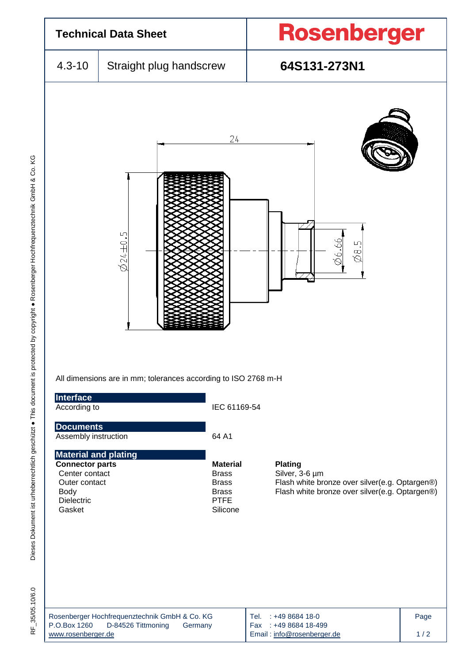

Dieses Dokument ist urheberrechtlich geschützt . This document is protected by copyright . Rosenberger Hochfrequenztechnik GmbH & Co. KG .0 Dieses Dokument ist urheberrechtlich geschützt ● This document is protected by copyright ● Rosenberger Hochfrequenztechnik GmbH & Co. KG

 $-35/05.10/6.0$ RF\_35/05.10/6  $\frac{1}{\alpha}$